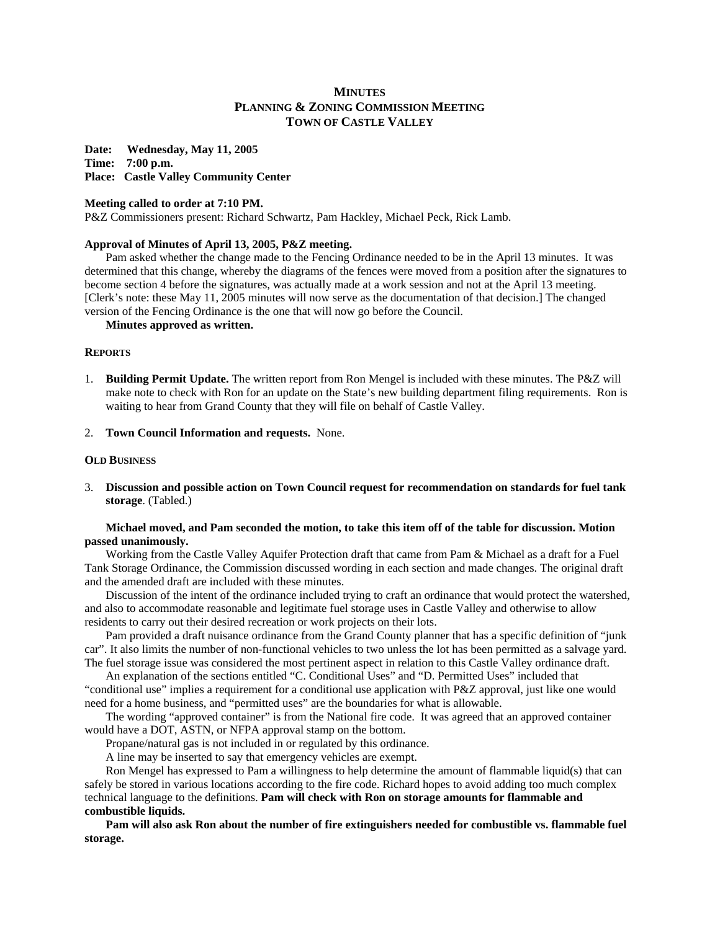# **MINUTES PLANNING & ZONING COMMISSION MEETING TOWN OF CASTLE VALLEY**

**Date: Wednesday, May 11, 2005 Time: 7:00 p.m. Place: Castle Valley Community Center**

### **Meeting called to order at 7:10 PM.**

P&Z Commissioners present: Richard Schwartz, Pam Hackley, Michael Peck, Rick Lamb.

# **Approval of Minutes of April 13, 2005, P&Z meeting.**

 Pam asked whether the change made to the Fencing Ordinance needed to be in the April 13 minutes. It was determined that this change, whereby the diagrams of the fences were moved from a position after the signatures to become section 4 before the signatures, was actually made at a work session and not at the April 13 meeting. [Clerk's note: these May 11, 2005 minutes will now serve as the documentation of that decision.] The changed version of the Fencing Ordinance is the one that will now go before the Council.

#### **Minutes approved as written.**

# **REPORTS**

- 1. **Building Permit Update.** The written report from Ron Mengel is included with these minutes. The P&Z will make note to check with Ron for an update on the State's new building department filing requirements. Ron is waiting to hear from Grand County that they will file on behalf of Castle Valley.
- 2. **Town Council Information and requests.** None.

### **OLD BUSINESS**

3. **Discussion and possible action on Town Council request for recommendation on standards for fuel tank storage**. (Tabled.)

### **Michael moved, and Pam seconded the motion, to take this item off of the table for discussion. Motion passed unanimously.**

 Working from the Castle Valley Aquifer Protection draft that came from Pam & Michael as a draft for a Fuel Tank Storage Ordinance, the Commission discussed wording in each section and made changes. The original draft and the amended draft are included with these minutes.

 Discussion of the intent of the ordinance included trying to craft an ordinance that would protect the watershed, and also to accommodate reasonable and legitimate fuel storage uses in Castle Valley and otherwise to allow residents to carry out their desired recreation or work projects on their lots.

 Pam provided a draft nuisance ordinance from the Grand County planner that has a specific definition of "junk car". It also limits the number of non-functional vehicles to two unless the lot has been permitted as a salvage yard. The fuel storage issue was considered the most pertinent aspect in relation to this Castle Valley ordinance draft.

 An explanation of the sections entitled "C. Conditional Uses" and "D. Permitted Uses" included that "conditional use" implies a requirement for a conditional use application with P&Z approval, just like one would need for a home business, and "permitted uses" are the boundaries for what is allowable.

 The wording "approved container" is from the National fire code. It was agreed that an approved container would have a DOT, ASTN, or NFPA approval stamp on the bottom.

Propane/natural gas is not included in or regulated by this ordinance.

A line may be inserted to say that emergency vehicles are exempt.

 Ron Mengel has expressed to Pam a willingness to help determine the amount of flammable liquid(s) that can safely be stored in various locations according to the fire code. Richard hopes to avoid adding too much complex technical language to the definitions. **Pam will check with Ron on storage amounts for flammable and combustible liquids.** 

 **Pam will also ask Ron about the number of fire extinguishers needed for combustible vs. flammable fuel storage.**